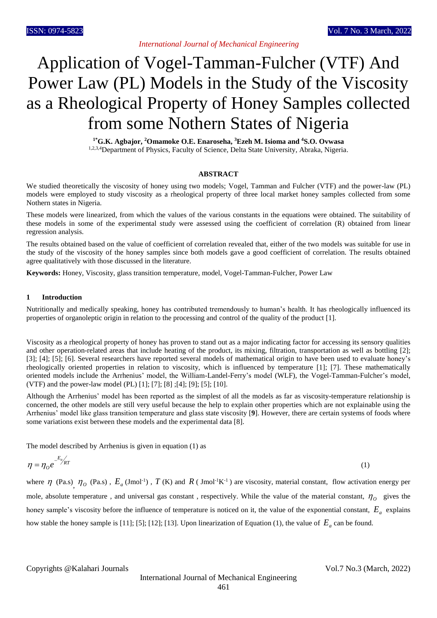# Application of Vogel-Tamman-Fulcher (VTF) And Power Law (PL) Models in the Study of the Viscosity as a Rheological Property of Honey Samples collected from some Nothern States of Nigeria

**1\*G.K. Agbajor, <sup>2</sup>Omamoke O.E. Enaroseha, <sup>3</sup>Ezeh M. Isioma and <sup>4</sup>S.O. Ovwasa** 1,2,3,4Department of Physics, Faculty of Science, Delta State University, Abraka, Nigeria.

## **ABSTRACT**

We studied theoretically the viscosity of honey using two models; Vogel, Tamman and Fulcher (VTF) and the power-law (PL) models were employed to study viscosity as a rheological property of three local market honey samples collected from some Nothern states in Nigeria.

These models were linearized, from which the values of the various constants in the equations were obtained. The suitability of these models in some of the experimental study were assessed using the coefficient of correlation (R) obtained from linear regression analysis.

The results obtained based on the value of coefficient of correlation revealed that, either of the two models was suitable for use in the study of the viscosity of the honey samples since both models gave a good coefficient of correlation. The results obtained agree qualitatively with those discussed in the literature.

**Keywords:** Honey, Viscosity, glass transition temperature, model, Vogel-Tamman-Fulcher, Power Law

## **1 Introduction**

Nutritionally and medically speaking, honey has contributed tremendously to human's health. It has rheologically influenced its properties of organoleptic origin in relation to the processing and control of the quality of the product [1].

Viscosity as a rheological property of honey has proven to stand out as a major indicating factor for accessing its sensory qualities and other operation-related areas that include heating of the product, its mixing, filtration, transportation as well as bottling [2]; [3]; [4]; [5]; [6]. Several researchers have reported several models of mathematical origin to have been used to evaluate honey's rheologically oriented properties in relation to viscosity, which is influenced by temperature [1]; [7]. These mathematically oriented models include the Arrhenius' model, the William-Landel-Ferry's model (WLF), the Vogel-Tamman-Fulcher's model, (VTF) and the power-law model (PL) [1]; [7]; [8] ;[4]; [9]; [5]; [10].

Although the Arrhenius' model has been reported as the simplest of all the models as far as viscosity-temperature relationship is concerned, the other models are still very useful because the help to explain other properties which are not explainable using the Arrhenius' model like glass transition temperature and glass state viscosity [**9**]. However, there are certain systems of foods where some variations exist between these models and the experimental data [8].

The model described by Arrhenius is given in equation (1) as

$$
\eta = \eta_o e^{-E_a / kT} \tag{1}
$$

where  $\eta$  (Pa.s),  $\eta_o$  (Pa.s),  $E_a$  (Jmol<sup>-1</sup>),  $T$  (K) and  $R$  (Jmol<sup>-1</sup>K<sup>-1</sup>) are viscosity, material constant, flow activation energy per mole, absolute temperature, and universal gas constant, respectively. While the value of the material constant,  $\eta_o$  gives the honey sample's viscosity before the influence of temperature is noticed on it, the value of the exponential constant, *E<sup>a</sup>* explains how stable the honey sample is [11]; [5]; [12]; [13]. Upon linearization of Equation (1), the value of  $E_a$  can be found.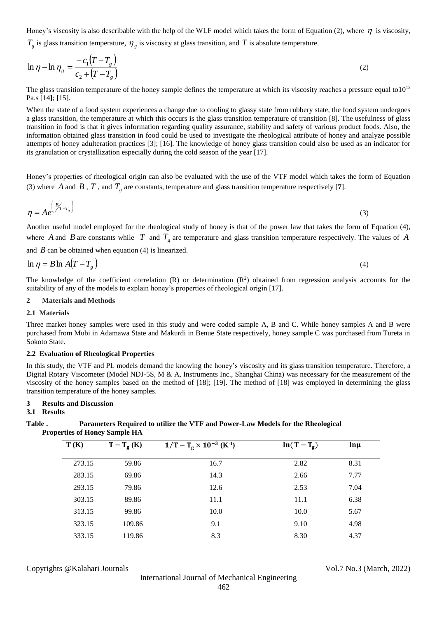Honey's viscosity is also describable with the help of the WLF model which takes the form of Equation (2), where  $\eta$  is viscosity,

 $T_g$  is glass transition temperature,  $\eta_g$  is viscosity at glass transition, and T is absolute temperature.

$$
\ln \eta - \ln \eta_g = \frac{-c_1 \left(T - T_g\right)}{c_2 + \left(T - T_g\right)}\tag{2}
$$

The glass transition temperature of the honey sample defines the temperature at which its viscosity reaches a pressure equal to  $10^{12}$ Pa.s [14**]**; **[**15].

When the state of a food system experiences a change due to cooling to glassy state from rubbery state, the food system undergoes a glass transition, the temperature at which this occurs is the glass transition temperature of transition [8]. The usefulness of glass transition in food is that it gives information regarding quality assurance, stability and safety of various product foods. Also, the information obtained glass transition in food could be used to investigate the rheological attribute of honey and analyze possible attempts of honey adulteration practices [3]; [16]. The knowledge of honey glass transition could also be used as an indicator for its granulation or crystallization especially during the cold season of the year [17].

Honey's properties of rheological origin can also be evaluated with the use of the VTF model which takes the form of Equation (3) where A and B, T, and  $T_g$  are constants, temperature and glass transition temperature respectively [7].

$$
\eta = Ae^{\left(\frac{B}{T-T_g}\right)} \tag{3}
$$

Another useful model employed for the rheological study of honey is that of the power law that takes the form of Equation (4), where A and B are constants while T and  $T_g$  are temperature and glass transition temperature respectively. The values of A

and  $\hat{B}$  can be obtained when equation (4) is linearized.

$$
\ln \eta = B \ln A (T - T_s) \tag{4}
$$

The knowledge of the coefficient correlation (R) or determination  $(R^2)$  obtained from regression analysis accounts for the suitability of any of the models to explain honey's properties of rheological origin [17].

# **2 Materials and Methods**

### **2.1 Materials**

Three market honey samples were used in this study and were coded sample A, B and C. While honey samples A and B were purchased from Mubi in Adamawa State and Makurdi in Benue State respectively, honey sample C was purchased from Tureta in Sokoto State.

### **2.2 Evaluation of Rheological Properties**

In this study, the VTF and PL models demand the knowing the honey's viscosity and its glass transition temperature. Therefore, a Digital Rotary Viscometer (Model NDJ-5S, M & A, Instruments Inc., Shanghai China) was necessary for the measurement of the viscosity of the honey samples based on the method of [18]; [19]. The method of [18] was employed in determining the glass transition temperature of the honey samples.

## **3 Results and Discussion**

# **3.1 Results**

## **Table . Parameters Required to utilize the VTF and Power-Law Models for the Rheological Properties of Honey Sample HA**

| T(K)   | $T-T_g(K)$ | $1/T - T_g \times 10^{-3}$ (K <sup>-1</sup> ) | $ln(T-T_g)$ | $\ln \mu$ |
|--------|------------|-----------------------------------------------|-------------|-----------|
| 273.15 | 59.86      | 16.7                                          | 2.82        | 8.31      |
| 283.15 | 69.86      | 14.3                                          | 2.66        | 7.77      |
| 293.15 | 79.86      | 12.6                                          | 2.53        | 7.04      |
| 303.15 | 89.86      | 11.1                                          | 11.1        | 6.38      |
| 313.15 | 99.86      | 10.0                                          | 10.0        | 5.67      |
| 323.15 | 109.86     | 9.1                                           | 9.10        | 4.98      |
| 333.15 | 119.86     | 8.3                                           | 8.30        | 4.37      |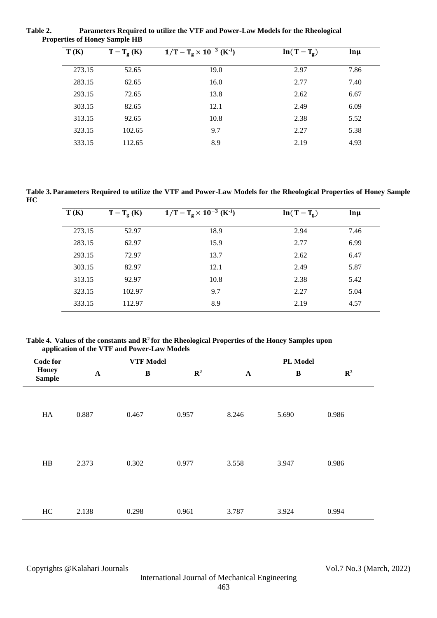**Table 2. Parameters Required to utilize the VTF and Power-Law Models for the Rheological Properties of Honey Sample HB**

| T(K)<br>$T-T_g(K)$ |        | $1/T - T_g \times 10^{-3}$ (K <sup>-1</sup> ) | $ln(T-T_g)$ | $ln \mu$ |  |  |
|--------------------|--------|-----------------------------------------------|-------------|----------|--|--|
| 273.15             | 52.65  | 19.0                                          | 2.97        | 7.86     |  |  |
| 283.15             | 62.65  | 16.0                                          | 2.77        | 7.40     |  |  |
| 293.15             | 72.65  | 13.8                                          | 2.62        | 6.67     |  |  |
| 303.15             | 82.65  | 12.1                                          | 2.49        | 6.09     |  |  |
| 313.15             | 92.65  | 10.8                                          | 2.38        | 5.52     |  |  |
| 323.15             | 102.65 | 9.7                                           | 2.27        | 5.38     |  |  |
| 333.15             | 112.65 | 8.9                                           | 2.19        | 4.93     |  |  |
|                    |        |                                               |             |          |  |  |

**Table 3. Parameters Required to utilize the VTF and Power-Law Models for the Rheological Properties of Honey Sample HC**

| T(K)   | $T-T_g(K)$ | $1/T - T_g \times 10^{-3}$ (K <sup>-1</sup> ) | $ln(T-T_g)$ | $\ln \mu$ |
|--------|------------|-----------------------------------------------|-------------|-----------|
| 273.15 | 52.97      | 18.9                                          | 2.94        | 7.46      |
| 283.15 | 62.97      | 15.9                                          | 2.77        | 6.99      |
| 293.15 | 72.97      | 13.7                                          | 2.62        | 6.47      |
| 303.15 | 82.97      | 12.1                                          | 2.49        | 5.87      |
| 313.15 | 92.97      | 10.8                                          | 2.38        | 5.42      |
| 323.15 | 102.97     | 9.7                                           | 2.27        | 5.04      |
| 333.15 | 112.97     | 8.9                                           | 2.19        | 4.57      |

**Table 4. Values of the constants and R<sup>2</sup>for the Rheological Properties of the Honey Samples upon application of the VTF and Power-Law Models** 

| <b>Code for</b>               | <b>VTF Model</b> |              |                | PL Model                  |              |                |  |
|-------------------------------|------------------|--------------|----------------|---------------------------|--------------|----------------|--|
| <b>Honey</b><br><b>Sample</b> | $\mathbf A$      | $\, {\bf B}$ | $\mathbb{R}^2$ | $\boldsymbol{\mathbf{A}}$ | $\, {\bf B}$ | $\mathbb{R}^2$ |  |
| HA                            | 0.887            | 0.467        | 0.957          | 8.246                     | 5.690        | 0.986          |  |
| HB                            | 2.373            | 0.302        | 0.977          | 3.558                     | 3.947        | 0.986          |  |
| HC                            | 2.138            | 0.298        | 0.961          | 3.787                     | 3.924        | 0.994          |  |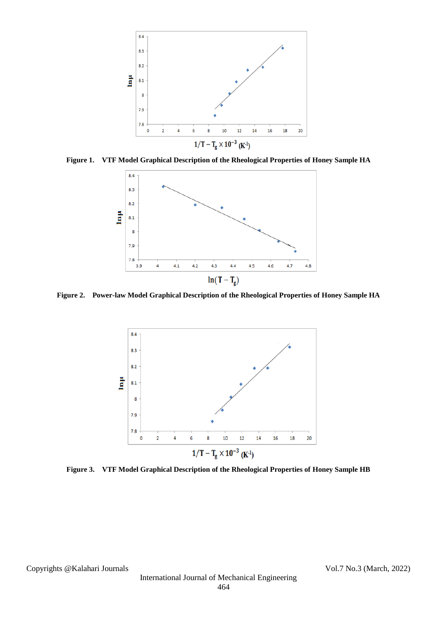

**Figure 1. VTF Model Graphical Description of the Rheological Properties of Honey Sample HA**



**Figure 2. Power-law Model Graphical Description of the Rheological Properties of Honey Sample HA**



**Figure 3. VTF Model Graphical Description of the Rheological Properties of Honey Sample HB**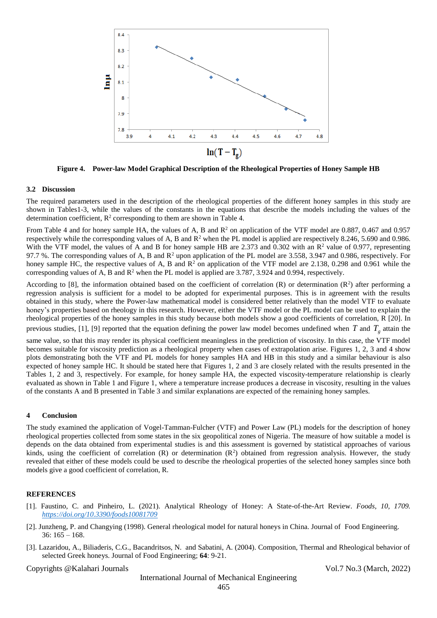

**Figure 4. Power-law Model Graphical Description of the Rheological Properties of Honey Sample HB**

## **3.2 Discussion**

The required parameters used in the description of the rheological properties of the different honey samples in this study are shown in Tables1-3, while the values of the constants in the equations that describe the models including the values of the determination coefficient,  $\mathbb{R}^2$  corresponding to them are shown in Table 4.

From Table 4 and for honey sample HA, the values of A, B and  $R^2$  on application of the VTF model are 0.887, 0.467 and 0.957 respectively while the corresponding values of A, B and  $\mathbb{R}^2$  when the PL model is applied are respectively 8.246, 5.690 and 0.986. With the VTF model, the values of A and B for honey sample HB are 2.373 and 0.302 with an  $\mathbb{R}^2$  value of 0.977, representing 97.7 %. The corresponding values of A, B and  $R^2$  upon application of the PL model are 3.558, 3.947 and 0.986, respectively. For honey sample HC, the respective values of A, B and  $R^2$  on application of the VTF model are 2.138, 0.298 and 0.961 while the corresponding values of A, B and  $\mathbb{R}^2$  when the PL model is applied are 3.787, 3.924 and 0.994, respectively.

According to [8], the information obtained based on the coefficient of correlation (R) or determination ( $\mathbb{R}^2$ ) after performing a regression analysis is sufficient for a model to be adopted for experimental purposes. This is in agreement with the results obtained in this study, where the Power-law mathematical model is considered better relatively than the model VTF to evaluate honey's properties based on rheology in this research. However, either the VTF model or the PL model can be used to explain the rheological properties of the honey samples in this study because both models show a good coefficients of correlation, R [20]. In previous studies, [1], [9] reported that the equation defining the power law model becomes undefined when  $T$  and  $T_g$  attain the

same value, so that this may render its physical coefficient meaningless in the prediction of viscosity. In this case, the VTF model becomes suitable for viscosity prediction as a rheological property when cases of extrapolation arise. Figures 1, 2, 3 and 4 show plots demonstrating both the VTF and PL models for honey samples HA and HB in this study and a similar behaviour is also expected of honey sample HC. It should be stated here that Figures 1, 2 and 3 are closely related with the results presented in the Tables 1, 2 and 3, respectively. For example, for honey sample HA, the expected viscosity-temperature relationship is clearly evaluated as shown in Table 1 and Figure 1, where a temperature increase produces a decrease in viscosity, resulting in the values of the constants A and B presented in Table 3 and similar explanations are expected of the remaining honey samples.

# **4 Conclusion**

The study examined the application of Vogel-Tamman-Fulcher (VTF) and Power Law (PL) models for the description of honey rheological properties collected from some states in the six geopolitical zones of Nigeria. The measure of how suitable a model is depends on the data obtained from experimental studies is and this assessment is governed by statistical approaches of various kinds, using the coefficient of correlation  $(R)$  or determination  $(R^2)$  obtained from regression analysis. However, the study revealed that either of these models could be used to describe the rheological properties of the selected honey samples since both models give a good coefficient of correlation, R.

## **REFERENCES**

- [1]. Faustino, C. and Pinheiro, L. (2021). Analytical Rheology of Honey: A State-of-the-Art Review. *Foods, 10, 1709. <https://doi.org/10.3390/foods10081709>*
- [2]. Junzheng, P. and Changying (1998). General rheological model for natural honeys in China. Journal of Food Engineering.  $36: 165 - 168.$
- [3]. Lazaridou, A., Biliaderis, C.G., Bacandritsos, N. and Sabatini, A. (2004). Composition, Thermal and Rheological behavior of selected Greek honeys. Journal of Food Engineering; **64**: 9-21.

## Copyrights @Kalahari Journals Vol.7 No.3 (March, 2022)

International Journal of Mechanical Engineering